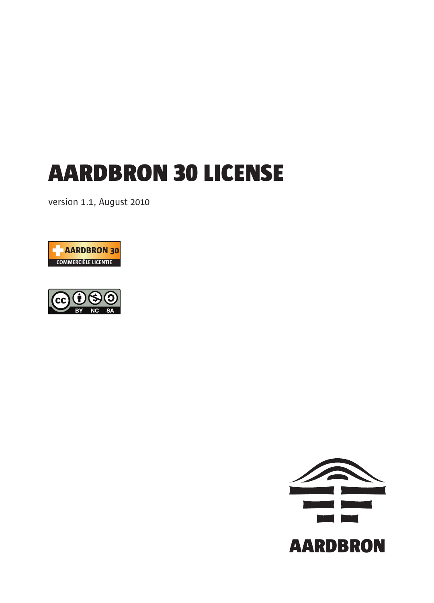# Aardbron 30 License

version 1.1, August 2010





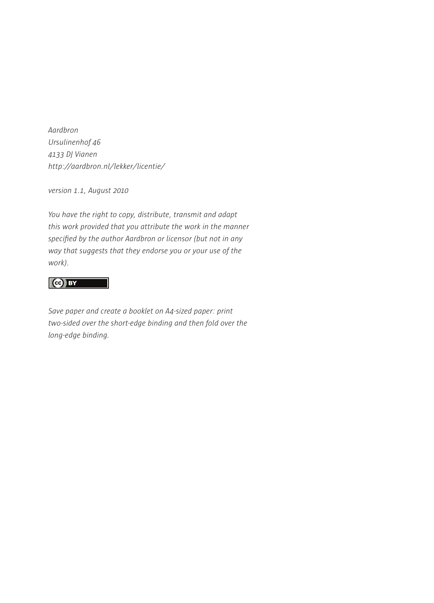*Aardbron Ursulinenhof 46 4133 DJ Vianen http://aardbron.nl/lekker/licentie/*

*version 1.1, August 2010* 

*You have the right to copy, distribute, transmit and adapt this work provided that you attribute the work in the manner specified by the author Aardbron or licensor (but not in any way that suggests that they endorse you or your use of the work).*

## $\vert$  (cc) BY

*Save paper and create a booklet on A4-sized paper: print two-sided over the short-edge binding and then fold over the long-edge binding.*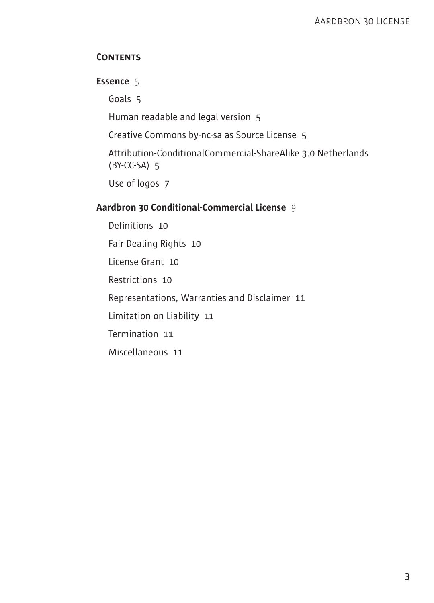## **Contents**

## **[Essence](#page-4-0)** 5

[Goals](#page-4-0) 5

[Human readable and legal version](#page-4-0) 5

[Creative Commons by-nc-sa as Source License](#page-4-0) 5

[Attribution-ConditionalCommercial-ShareAlike 3.0 Netherlands](#page-4-0)  [\(BY-CC-SA\)](#page-4-0) 5

[Use of logos](#page-6-0) 7

# **[Aardbron 30 Conditional-Commercial License](#page-8-0)** 9

[Definitions](#page-9-0) 10 [Fair Dealing Rights](#page-9-0) 10 [License Grant](#page-9-0) 10 [Restrictions](#page-9-0) 10 [Representations, Warranties and Disclaimer](#page-10-0) 11 [Limitation on Liability](#page-10-0) 11 [Termination](#page-10-0) 11 [Miscellaneous](#page-10-0) 11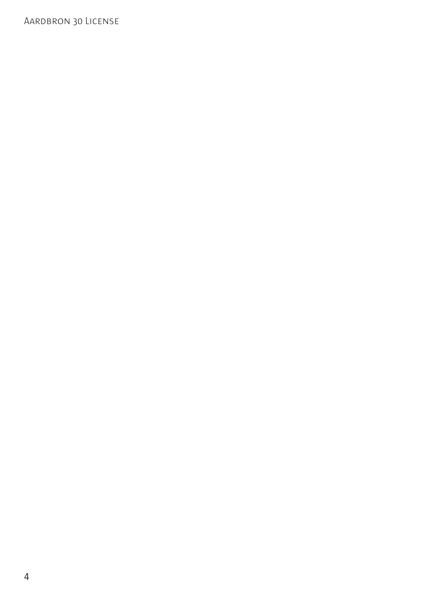# Aardbron 30 License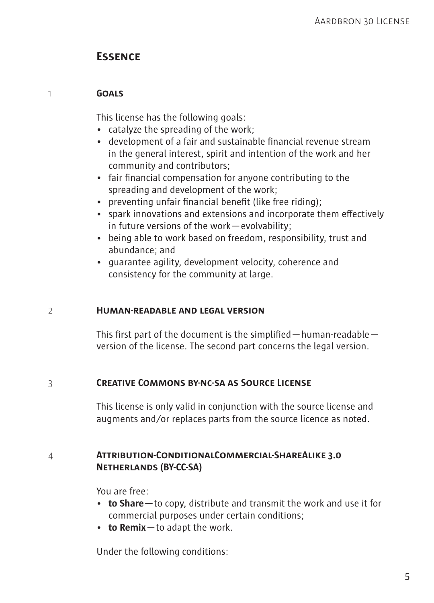# **Essence**

#### <span id="page-4-0"></span>1 **Goals**

This license has the following goals:

- catalyze the spreading of the work;
- development of a fair and sustainable financial revenue stream in the general interest, spirit and intention of the work and her community and contributors;
- fair financial compensation for anyone contributing to the spreading and development of the work;
- preventing unfair financial benefit (like free riding);
- spark innovations and extensions and incorporate them effectively in future versions of the work—evolvability;
- being able to work based on freedom, responsibility, trust and abundance; and
- • guarantee agility, development velocity, coherence and consistency for the community at large.

#### 2 **Human-readable and legal version**

This first part of the document is the simplified—human-readable version of the license. The second part concerns the legal version.

## 3 **Creative Commons by-nc-sa as Source License**

This license is only valid in conjunction with the source license and augments and/or replaces parts from the source licence as noted.

# 4 **Attribution-ConditionalCommercial-ShareAlike 3.0 Netherlands (BY-CC-SA)**

You are free:

- **to Share**—to copy, distribute and transmit the work and use it for commercial purposes under certain conditions;
- • **to Remix**—to adapt the work.

Under the following conditions: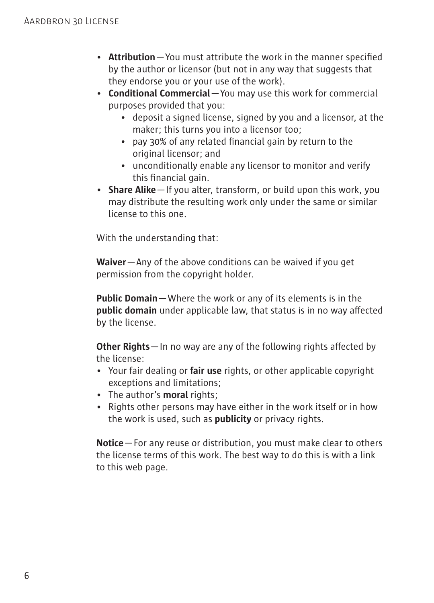- • **Attribution**—You must attribute the work in the manner specified by the author or licensor (but not in any way that suggests that they endorse you or your use of the work).
- • **Conditional Commercial**—You may use this work for commercial purposes provided that you:
	- • deposit a signed license, signed by you and a licensor, at the maker; this turns you into a licensor too;
	- • pay 30% of any related financial gain by return to the original licensor; and
	- unconditionally enable any licensor to monitor and verify this financial gain.
- **Share Alike**—If you alter, transform, or build upon this work, you may distribute the resulting work only under the same or similar license to this one.

With the understanding that:

**Waiver**—Any of the above conditions can be waived if you get permission from the copyright holder.

**Public Domain**—Where the work or any of its elements is in the **public domain** under applicable law, that status is in no way affected by the license.

**Other Rights**—In no way are any of the following rights affected by the license:

- • Your fair dealing or **fair use** rights, or other applicable copyright exceptions and limitations;
- The author's **moral** rights:
- Rights other persons may have either in the work itself or in how the work is used, such as **publicity** or privacy rights.

**Notice**—For any reuse or distribution, you must make clear to others the license terms of this work. The best way to do this is with a link to this web page.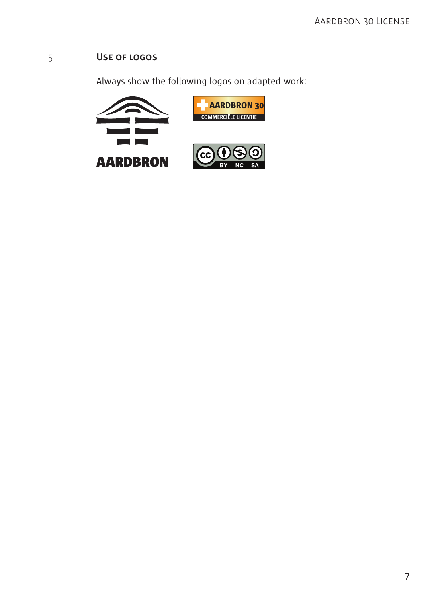# <span id="page-6-0"></span>5 **Use of logos**

Always show the following logos on adapted work:

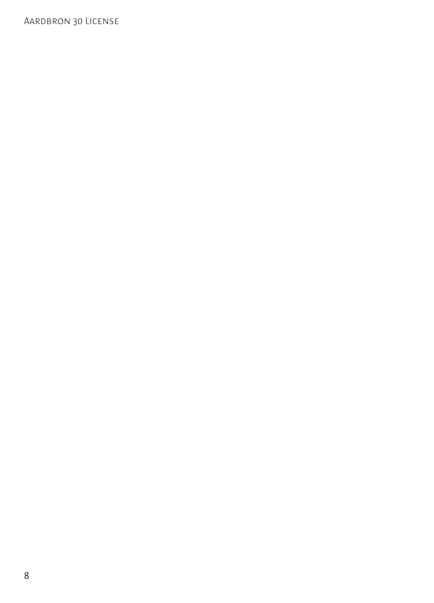# Aardbron 30 License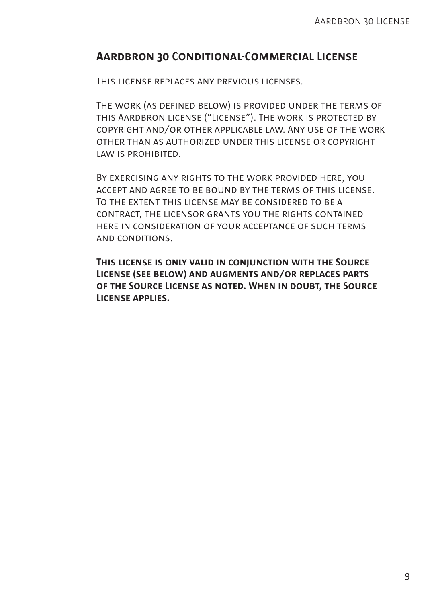## <span id="page-8-0"></span>**Aardbron 30 Conditional-Commercial License**

This license replaces any previous licenses.

The work (as defined below) is provided under the terms of this Aardbron license ("License"). The work is protected by copyright and/or other applicable law. Any use of the work other than as authorized under this license or copyright law is prohibited.

By exercising any rights to the work provided here, you accept and agree to be bound by the terms of this license. To the extent this license may be considered to be a contract, the licensor grants you the rights contained here in consideration of your acceptance of such terms and conditions.

**This license is only valid in conjunction with the Source License (see below) and augments and/or replaces parts of the Source License as noted. When in doubt, the Source License applies.**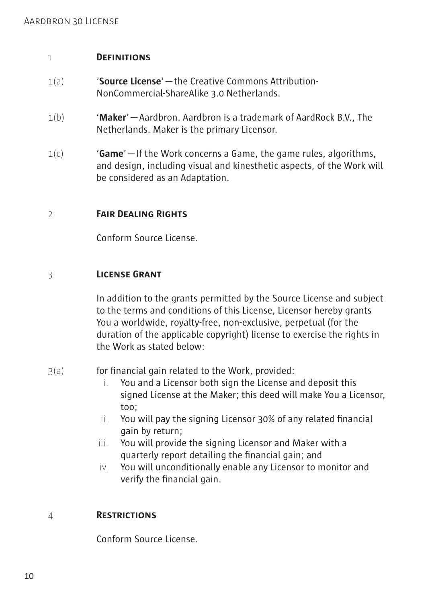#### <span id="page-9-0"></span>1 **Definitions**

- 1(a) '**Source License**'—the [Creative Commons](http://creativecommons.nl/) Attribution-NonCommercial-ShareAlike 3.0 Netherlands.
- 1(b) '**Maker**'—Aardbron. Aardbron is a trademark of AardRock B.V., The Netherlands. Maker is the primary Licensor.
- 1(c) '**Game**'—If the Work concerns a Game, the game rules, algorithms, and design, including visual and kinesthetic aspects, of the Work will be considered as an Adaptation.

## 2 **Fair Dealing Rights**

Conform Source License.

#### 3 **License Grant**

In addition to the grants permitted by the Source License and subject to the terms and conditions of this License, Licensor hereby grants You a worldwide, royalty-free, non-exclusive, perpetual (for the duration of the applicable copyright) license to exercise the rights in the Work as stated below:

#### $3(a)$  for financial gain related to the Work, provided:

- i. You and a Licensor both sign the License and deposit this signed License at the Maker; this deed will make You a Licensor, too;
- ii. You will pay the signing Licensor 30% of any related financial gain by return;
- iii. You will provide the signing Licensor and Maker with a quarterly report detailing the financial gain; and
- iv. You will unconditionally enable any Licensor to monitor and verify the financial gain.

#### 4 **Restrictions**

Conform Source License.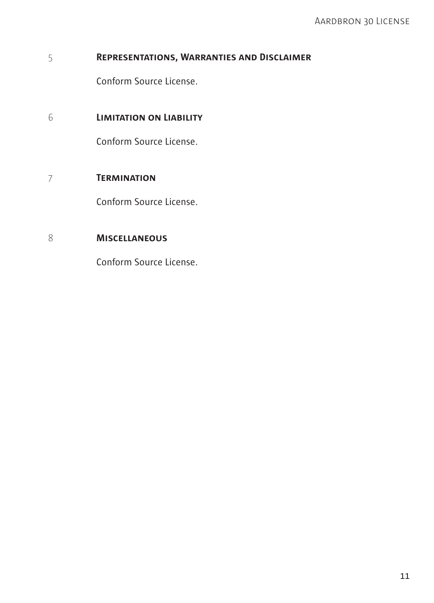## <span id="page-10-0"></span>5 **Representations, Warranties and Disclaimer**

Conform Source License.

6 **Limitation on Liability**

Conform Source License.

### 7 **Termination**

Conform Source License.

## 8 **Miscellaneous**

Conform Source License.